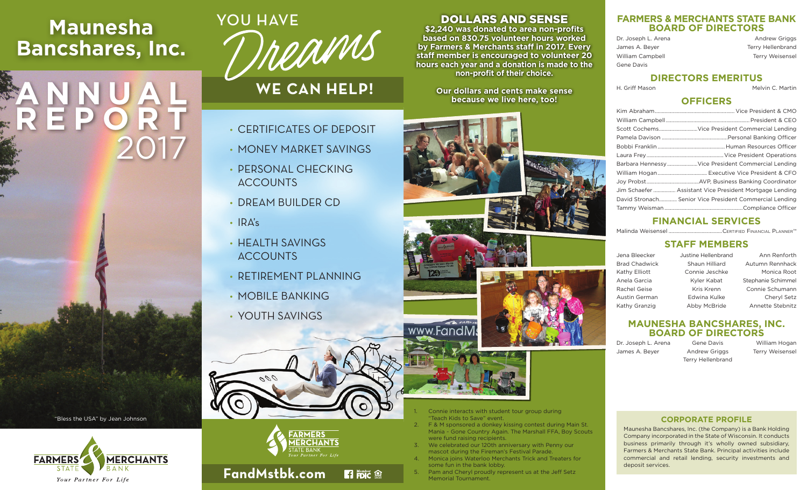# **Maunesha Bancshares, Inc.**

# **ANNUAL REPORT** 2017



# **WE CAN HELP!**

- CERTIFICATES OF DEPOSIT
- MONEY MARKET SAVINGS
- PERSONAL CHECKING **ACCOUNTS**
- DREAM BUILDER CD
- $\cdot$  IRA's
- HEALTH SAVINGS **ACCOUNTS**
- RETIREMENT PLANNING
- MOBILE BANKING
- YOUTH SAVINGS

**FandMstbk.com**

000

# DOLLARS AND SENSE

**\$2,240 was donated to area non-profits based on 830.75 volunteer hours worked by Farmers & Merchants staff in 2017. Every staff member is encouraged to volunteer 20 hours each year and a donation is made to the non-profit of their choice.** 

> **Our dollars and cents make sense because we live here, too!**



#### Connie interacts with student tour group during "Teach Kids to Save" event.

- 2. F & M sponsored a donkey kissing contest during Main St. Mania ~ Gone Country Again. The Marshall FFA, Boy Scouts were fund raising recipients.
- We celebrated our 120th anniversary with Penny our mascot during the Fireman's Festival Parade.
- 4. Monica joins Waterloo Merchants Trick and Treaters for some fun in the bank lobby.
- Pam and Cheryl proudly represent us at the Jeff Setz Memorial Tournament.

#### **FARMERS & MERCHANTS STATE BANK BOARD OF DIRECTORS**

| Dr. Joseph L. Arena | <b>Andrew Griggs</b>     |
|---------------------|--------------------------|
| James A. Beyer      | <b>Terry Hellenbrand</b> |
| William Campbell    | <b>Terry Weisensel</b>   |
| Gene Davis          |                          |

# **DIRECTORS EMERITUS**

H. Griff Mason **Melvin C. Martin** 

#### **OFFICERS**

|  | Scott CochemsVice President Commercial Lending          |
|--|---------------------------------------------------------|
|  |                                                         |
|  |                                                         |
|  |                                                         |
|  | Barbara Hennessy Vice President Commercial Lending      |
|  |                                                         |
|  |                                                         |
|  | Jim Schaefer  Assistant Vice President Mortgage Lending |
|  | David Stronach Senior Vice President Commercial Lending |
|  |                                                         |

# **FINANCIAL SERVICES**

Malinda Weisensel .......................................Certified Financial PlannerTM

## **STAFF MEMBERS**

| Jena Bleecker        | Justine Hellenbrand | Ann Renforth       |
|----------------------|---------------------|--------------------|
| <b>Brad Chadwick</b> | Shaun Hilliard      | Autumn Rennhack    |
| Kathy Elliott        | Connie Jeschke      | Monica Root        |
| Anela Garcia         | Kyler Kabat         | Stephanie Schimmel |
| Rachel Geise         | Kris Krenn          | Connie Schumann    |
| Austin German        | Edwina Kulke        | Cheryl Setz        |
| Kathy Granzig        | Abby McBride        | Annette Stebnitz   |

#### **MAUNESHA BANCSHARES, INC. BOARD OF DIRECTORS**

Terry Hellenbrand

James A. Beyer **Andrew Griggs** Terry Weisensel

Dr. Joseph L. Arena Gene Davis Milliam Hogan

# **CORPORATE PROFILE**

Maunesha Bancshares, Inc. (the Company) is a Bank Holding Company incorporated in the State of Wisconsin. It conducts business primarily through it's wholly owned subsidiary, Farmers & Merchants State Bank. Principal activities include commercial and retail lending, security investments and deposit services.

"Bless the USA" by Jean Johnson





**B** FDIC <sup>(2)</sup>